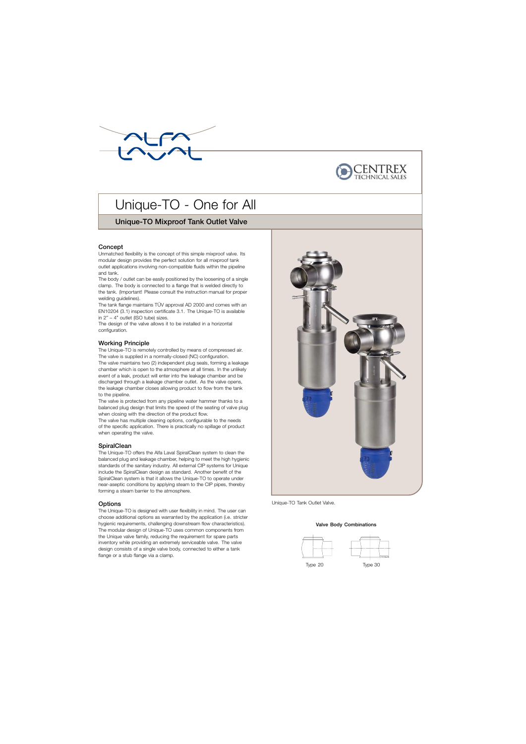



# Unique-TO - One for All

# Unique-TO Mixproof Tank Outlet Valve

# Concept

Unmatched flexibility is the concept of this simple mixproof valve. Its modular design provides the perfect solution for all mixproof tank outlet applications involving non-compatible fluids within the pipeline and tank.

The body / outlet can be easily positioned by the loosening of a single clamp. The body is connected to a flange that is welded directly to the tank. (Important! Please consult the instruction manual for proper welding guidelines).

The tank flange maintains TÜV approval AD 2000 and comes with an EN10204 (3.1) inspection certificate 3.1. The Unique-TO is available in 2" – 4" outlet (ISO tube) sizes.

The design of the valve allows it to be installed in a horizontal configuration.

# Working Principle

The Unique-TO is remotely controlled by means of compressed air. The valve is supplied in a normally-closed (NC) configuration. The valve maintains two (2) independent plug seals, forming a leakage chamber which is open to the atmosphere at all times. In the unlikely event of a leak, product will enter into the leakage chamber and be discharged through a leakage chamber outlet. As the valve opens, the leakage chamber closes allowing product to flow from the tank to the pipeline.

The valve is protected from any pipeline water hammer thanks to a balanced plug design that limits the speed of the seating of valve plug when closing with the direction of the product flow.

The valve has multiple cleaning options, configurable to the needs of the specific application. There is practically no spillage of product when operating the valve.

# **SpiralClean**

The Unique-TO offers the Alfa Laval SpiralClean system to clean the balanced plug and leakage chamber, helping to meet the high hygienic standards of the sanitary industry. All external CIP systems for Unique include the SpiralClean design as standard. Another benefit of the SpiralClean system is that it allows the Unique-TO to operate under near-aseptic conditions by applying steam to the CIP pipes, thereby forming a steam barrier to the atmosphere.

# **Options**

. The modular design of Unique-TO uses common components from The Unique-TO is designed with user flexibility in mind. The user can choose additional options as warranted by the application (i.e. stricter hygienic requirements, challenging downstream flow characteristics). the Unique valve family, reducing the requirement for spare parts inventory while providing an extremely serviceable valve. The valve design consists of a single valve body, connected to either a tank flange or a stub flange via a clamp.



Unique-TO Tank Outlet Valve.

#### Valve Body Combinations

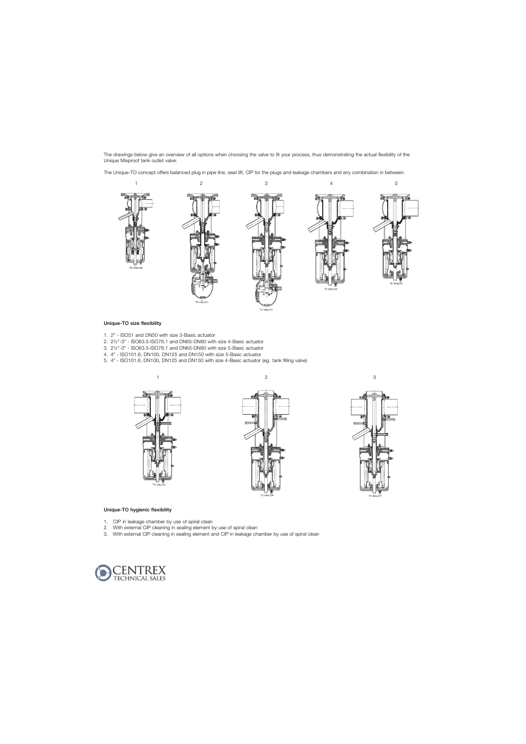The drawings below give an overview of all options when choosing the valve to fit your process, thus demonstrating the actual flexibility of the Unique Mixproof tank outlet valve.

The Unique-TO concept offers balanced plug in pipe line, seat lift, CIP for the plugs and leakage chambers and any combination in between.



#### Unique-TO size flexibility

- 1. 2" ISO51 and DN50 with size 3-Basic actuator
- 2. 2½"-3" ISO63.5-ISO76.1 and DN65-DN80 with size 4-Basic actuator
- 3. 2½"-3" ISO63.5-ISO76.1 and DN65-DN80 with size 5-Basic actuator
- 4. 4" ISO101.6, DN100, DN125 and DN150 with size 5-Basic actuator
- 5. 4" ISO101.6, DN100, DN125 and DN150 with size 4-Basic actuator (eg. tank filling valve)







#### Unique-TO hygienic flexibility

- 1. CIP in leakage chamber by use of spiral clean
- 2. With external CIP cleaning in sealing element by use of spiral clean
- 3. With external CIP cleaning in sealing element and CIP in leakage chamber by use of spiral clean

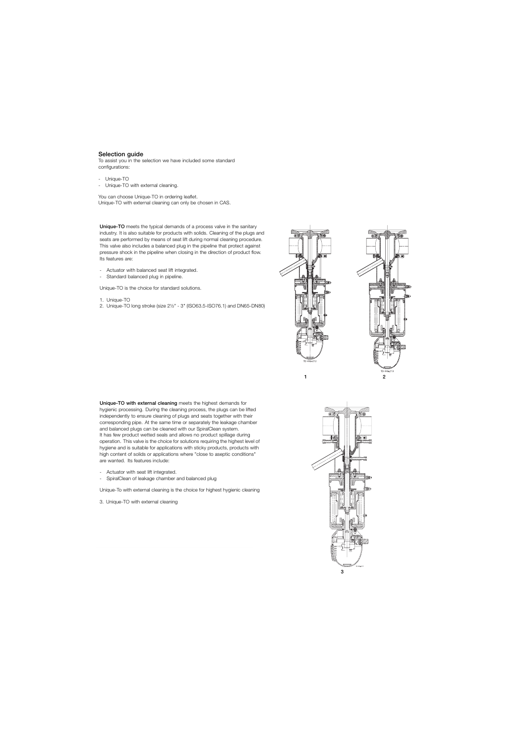# Selection guide

To assist you in the selection we have included some standard configurations:

- Unique-TO
- Unique-TO with external cleaning.

You can choose Unique-TO in ordering leaflet. Unique-TO with external cleaning can only be chosen in CAS.

Unique-TO meets the typical demands of a process valve in the sanitary industry. It is also suitable for products with solids. Cleaning of the plugs and seats are performed by means of seat lift during normal cleaning procedure. This valve also includes a balanced plug in the pipeline that protect against pressure shock in the pipeline when closing in the direction of product flow. Its features are:

- Actuator with balanced seat lift integrated.
- Standard balanced plug in pipeline.

Unique-TO is the choice for standard solutions.

- 1. Unique-TO
- 2. Unique-TO long stroke (size 2½" 3" (ISO63.5-ISO76.1) and DN65-DN80)





Unique-TO with external cleaning meets the highest demands for hygienic processing. During the cleaning process, the plugs can be lifted independently to ensure cleaning of plugs and seats together with their corresponding pipe. At the same time or separately the leakage chamber and balanced plugs can be cleaned with our SpiralClean system. It has few product wetted seals and allows no product spillage during operation. This valve is the choice for solutions requiring the highest level of hygiene and is suitable for applications with sticky products, products with high content of solids or applications where "close to aseptic conditions" are wanted. Its features include:

- Actuator with seat lift integrated.
- SpiralClean of leakage chamber and balanced plug

Unique-To with external cleaning is the choice for highest hygienic cleaning

3. Unique-TO with external cleaning

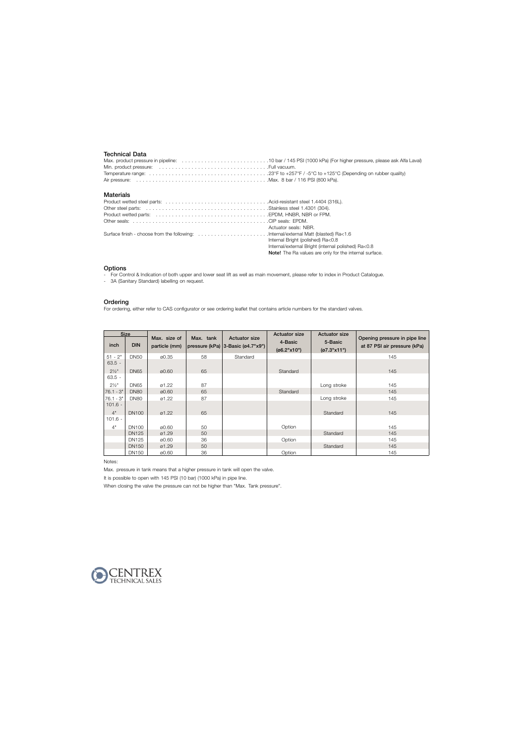# Technical Data

#### **Materials**

| Actuator seals: NBR.                                   |
|--------------------------------------------------------|
|                                                        |
| Internal Bright (polished) Ra<0.8                      |
| Internal/external Bright (internal polished) Ra<0.8    |
| Note! The Ra values are only for the internal surface. |

#### **Options**

- For Control & Indication of both upper and lower seat lift as well as main movement, please refer to index in Product Catalogue.
- 3A (Sanitary Standard) labelling on request.

#### **Ordering**

For ordering, either refer to CAS configurator or see ordering leaflet that contains article numbers for the standard valves.

|                  | <b>Size</b>  |                               |           |                                                                        | <b>Actuator size</b>   | <b>Actuator size</b>   |                                                               |  |  |
|------------------|--------------|-------------------------------|-----------|------------------------------------------------------------------------|------------------------|------------------------|---------------------------------------------------------------|--|--|
| inch             | <b>DIN</b>   | Max. size of<br>particle (mm) | Max. tank | <b>Actuator size</b><br>pressure (kPa) $ 3$ -Basic ( $\alpha$ 4.7"x9") | 4-Basic<br>(66.2"x10") | 5-Basic<br>(07.3"x11") | Opening pressure in pipe line<br>at 87 PSI air pressure (kPa) |  |  |
| $51 - 2"$        | <b>DN50</b>  | 00.35                         | 58        | Standard                                                               |                        |                        | 145                                                           |  |  |
| $63.5 -$         |              |                               |           |                                                                        |                        |                        |                                                               |  |  |
| $2\frac{1}{2}$ " | <b>DN65</b>  | 00.60                         | 65        |                                                                        | Standard               |                        | 145                                                           |  |  |
| $63.5 -$         |              |                               |           |                                                                        |                        |                        |                                                               |  |  |
| $2\frac{1}{2}$ " | <b>DN65</b>  | 01.22                         | 87        |                                                                        |                        | Long stroke            | 145                                                           |  |  |
| $76.1 - 3"$      | <b>DN80</b>  | 00.60                         | 65        |                                                                        | Standard               |                        | 145                                                           |  |  |
| $76.1 - 3"$      | <b>DN80</b>  | 01.22                         | 87        |                                                                        |                        | Long stroke            | 145                                                           |  |  |
| $101.6 -$        |              |                               |           |                                                                        |                        |                        |                                                               |  |  |
| 4"               | <b>DN100</b> | $\varnothing$ 1.22            | 65        |                                                                        |                        | Standard               | 145                                                           |  |  |
| $101.6 -$        |              |                               |           |                                                                        |                        |                        |                                                               |  |  |
| 4"               | DN100        | 00.60                         | 50        |                                                                        | Option                 |                        | 145                                                           |  |  |
|                  | <b>DN125</b> | ø1.29                         | 50        |                                                                        |                        | Standard               | 145                                                           |  |  |
|                  | DN125        | 00.60                         | 36        |                                                                        | Option                 |                        | 145                                                           |  |  |
|                  | <b>DN150</b> | ø1.29                         | 50        |                                                                        |                        | Standard               | 145                                                           |  |  |
|                  | <b>DN150</b> | 00.60                         | 36        |                                                                        | Option                 |                        | 145                                                           |  |  |

Notes:

Max. pressure in tank means that a higher pressure in tank will open the valve.

It is possible to open with 145 PSI (10 bar) (1000 kPa) in pipe line.

When closing the valve the pressure can not be higher than "Max. Tank pressure".

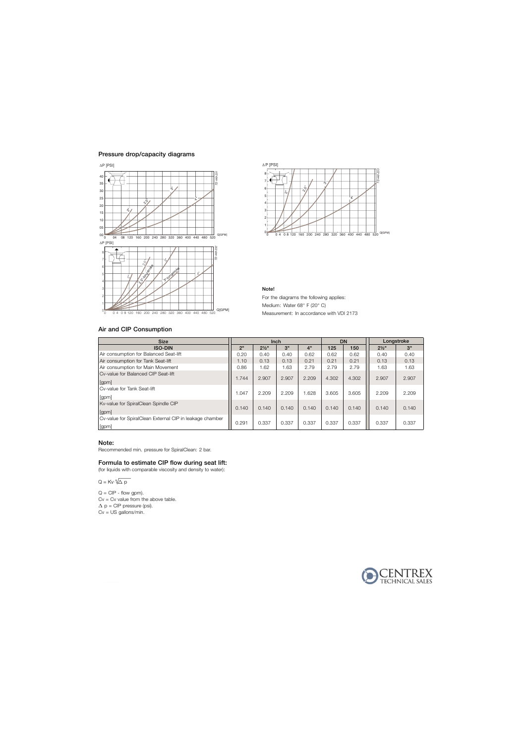# Pressure drop/capacity diagrams



#### 2 3 4 5 6 7 8 ∆ P [PSI] - ທີ່<br>V  $\tilde{\delta}_{\mathsf{V}}$  $\mathring{\mathfrak{G}}$  ,  $\boldsymbol{\mu}$

0 0 4 0 8 120 160 200 240 280 320 360 400 440 480 520 <sup>Q[GPM]</sup>

TD 449-233

#### Note!

 $0_0$ 1

For the diagrams the following applies: Medium: Water 68° F (20° C) Measurement: In accordance with VDI 2173

# Air and CIP Consumption

| <b>Size</b>                                                       | Inch           |                  |       |       | <b>DN</b> |       | Longstroke       |       |
|-------------------------------------------------------------------|----------------|------------------|-------|-------|-----------|-------|------------------|-------|
| <b>ISO-DIN</b>                                                    | 2 <sup>n</sup> | $2\frac{1}{2}$ " | 3"    | 4"    | 125       | 150   | $2\frac{1}{2}$ " | 3"    |
| Air consumption for Balanced Seat-lift                            | 0.20           | 0.40             | 0.40  | 0.62  | 0.62      | 0.62  | 0.40             | 0.40  |
| Air consumption for Tank Seat-lift                                | 1.10           | 0.13             | 0.13  | 0.21  | 0.21      | 0.21  | 0.13             | 0.13  |
| Air consumption for Main Movement                                 | 0.86           | 1.62             | 1.63  | 2.79  | 2.79      | 2.79  | 1.63             | 1.63  |
| Cy-value for Balanced CIP Seat-lift<br>[gpm]                      | 1.744          | 2.907            | 2.907 | 2.209 | 4.302     | 4.302 | 2.907            | 2.907 |
| Cv-value for Tank Seat-lift<br>[gpm]                              | 1.047          | 2.209            | 2.209 | .628  | 3.605     | 3.605 | 2.209            | 2.209 |
| Kv-value for SpiralClean Spindle CIP<br>[gpm]                     | 0.140          | 0.140            | 0.140 | 0.140 | 0.140     | 0.140 | 0.140            | 0.140 |
| Cv-value for SpiralClean External CIP in leakage chamber<br>[gpm] | 0.291          | 0.337            | 0.337 | 0.337 | 0.337     | 0.337 | 0.337            | 0.337 |

# Note:

Recommended min. pressure for SpiralClean: 2 bar.

# Formula to estimate CIP flow during seat lift:

(for liquids with comparable viscosity and density to water):

 $Q = Kv \cdot \sqrt{\Delta p}$ 

 $Q = CIP - flow gpm$ .  $Cv = Cv$  value from the above table.  $\Delta$  p = CIP pressure (psi).  $Cv = US$  gallons/min.

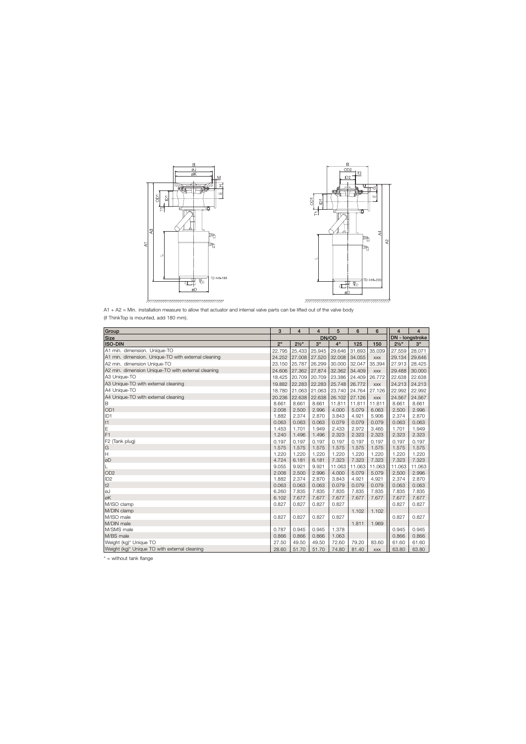



| Group                                               | 3      | 4                | $\overline{4}$ | 5      | 6      | 6               | $\overline{4}$   | 4      |
|-----------------------------------------------------|--------|------------------|----------------|--------|--------|-----------------|------------------|--------|
| <b>Size</b>                                         | DN/OD  |                  |                |        |        | DN - longstroke |                  |        |
| <b>ISO-DIN</b>                                      | 2"     | $2\frac{1}{2}$ " | 3"             | 4"     | 125    | 150             | $2\frac{1}{2}$ " | 3"     |
| A1 min. dimension. Unique-TO                        | 22.795 | 25.433           | 25.945         | 29.646 | 31.693 | 35.039          | 27.559           | 28.071 |
| A1 min. dimension. Unique-TO with external cleaning | 24.252 | 27.008           | 27.520         | 32.008 | 34.055 | <b>XXX</b>      | 29.134           | 29.646 |
| A2 min. dimension Unique-TO                         | 23.150 | 25.787           | 26.299         | 30.000 | 32.047 | 35.394          | 27.913           | 28.425 |
| A2 min. dimension Unique-TO with external cleaning  | 24.606 | 27.362           | 27.874         | 32.362 | 34.409 | <b>XXX</b>      | 29.488           | 30.000 |
| A3 Unique-TO                                        | 18.425 | 20.709           | 20.709         | 23.386 | 24.409 | 26.772          | 22.638           | 22.638 |
| A3 Unique-TO with external cleaning                 | 19.882 | 22.283           | 22.283         | 25.748 | 26.772 | <b>XXX</b>      | 24.213           | 24.213 |
| A4 Unique-TO                                        | 18.780 | 21.063           | 21.063         | 23.740 | 24.764 | 27.126          | 22.992           | 22.992 |
| A4 Unique-TO with external cleaning                 | 20.236 | 22.638           | 22.638         | 26.102 | 27.126 | <b>XXX</b>      | 24.567           | 24.567 |
| B                                                   | 8.661  | 8.661            | 8.661          | 11.811 | 11.811 | 11.811          | 8.661            | 8.661  |
| OD <sub>1</sub>                                     | 2.008  | 2.500            | 2.996          | 4.000  | 5.079  | 6.063           | 2.500            | 2.996  |
| ID <sub>1</sub>                                     | 1.882  | 2.374            | 2.870          | 3.843  | 4.921  | 5.906           | 2.374            | 2.870  |
| t1                                                  | 0.063  | 0.063            | 0.063          | 0.079  | 0.079  | 0.079           | 0.063            | 0.063  |
| E                                                   | 1.453  | 1.701            | 1.949          | 2.433  | 2.972  | 3.465           | 1.701            | 1.949  |
| F <sub>1</sub>                                      | 1.240  | 1.496            | 1.496          | 2.323  | 2.323  | 2.323           | 2.323            | 2.323  |
| F2 (Tank plug)                                      | 0.197  | 0.197            | 0.197          | 0.197  | 0.197  | 0.197           | 0.197            | 0.197  |
| ${\mathsf G}$                                       | 1.575  | 1.575            | 1.575          | 1.575  | 1.575  | 1.575           | 1.575            | 1.575  |
| $\boldsymbol{\mathsf{H}}$                           | 1.220  | 1.220            | 1.220          | 1.220  | 1.220  | 1.220           | 1.220            | 1.220  |
| øD                                                  | 4.724  | 6.181            | 6.181          | 7.323  | 7.323  | 7.323           | 7.323            | 7.323  |
| L                                                   | 9.055  | 9.921            | 9.921          | 11.063 | 11.063 | 11.063          | 11.063           | 11.063 |
| OD <sub>2</sub>                                     | 2.008  | 2.500            | 2.996          | 4.000  | 5.079  | 5.079           | 2.500            | 2.996  |
| ID <sub>2</sub>                                     | 1.882  | 2.374            | 2.870          | 3.843  | 4.921  | 4.921           | 2.374            | 2.870  |
| t2                                                  | 0.063  | 0.063            | 0.063          | 0.079  | 0.079  | 0.079           | 0.063            | 0.063  |
| ØJ                                                  | 6.260  | 7.835            | 7.835          | 7.835  | 7.835  | 7.835           | 7.835            | 7.835  |
| øK                                                  | 6.102  | 7.677            | 7.677          | 7.677  | 7.677  | 7.677           | 7.677            | 7.677  |
| M/ISO clamp                                         | 0.827  | 0.827            | 0.827          | 0.827  |        |                 | 0.827            | 0.827  |
| M/DIN clamp                                         |        |                  |                |        | 1.102  | 1.102           |                  |        |
| M/ISO male                                          | 0.827  | 0.827            | 0.827          | 0.827  |        |                 | 0.827            | 0.827  |
| M/DIN male                                          |        |                  |                |        | 1.811  | 1.969           |                  |        |
| M/SMS male                                          | 0.787  | 0.945            | 0.945          | 1.378  |        |                 | 0.945            | 0.945  |
| M/BS male                                           | 0.866  | 0.866            | 0.866          | 1.063  |        |                 | 0.866            | 0.866  |
| Weight (kg)* Unique TO                              | 27.50  | 49.50            | 49.50          | 72.60  | 79.20  | 83.60           | 61.60            | 61.60  |
| Weight (kg)* Unique TO with external cleaning       | 28.60  | 51.70            | 51.70          | 74.80  | 81.40  | <b>XXX</b>      | 63.80            | 63.80  |

\* = without tank flange